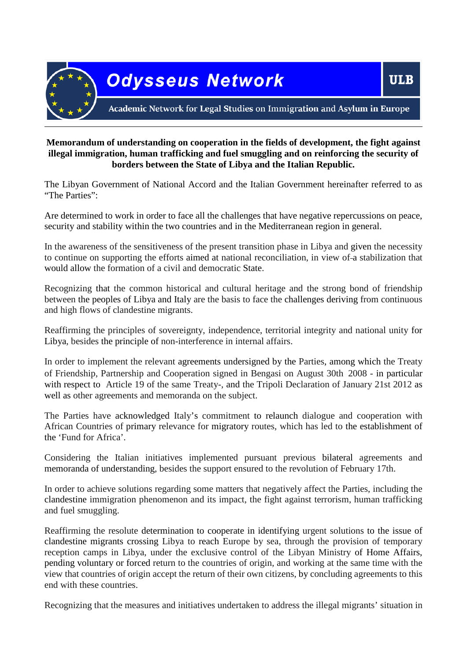

# **Memorandum of understanding on cooperation in the fields of development, the fight against illegal immigration, human trafficking and fuel smuggling and on reinforcing the security of borders between the State of Libya and the Italian Republic.**

The Libyan Government of National Accord and the Italian Government hereinafter referred to as "The Parties":

Are determined to work in order to face all the challenges that have negative repercussions on peace, security and stability within the two countries and in the Mediterranean region in general.

In the awareness of the sensitiveness of the present transition phase in Libya and given the necessity to continue on supporting the efforts aimed at national reconciliation, in view of a stabilization that would allow the formation of a civil and democratic State.

Recognizing that the common historical and cultural heritage and the strong bond of friendship between the peoples of Libya and Italy are the basis to face the challenges deriving from continuous and high flows of clandestine migrants.

Reaffirming the principles of sovereignty, independence, territorial integrity and national unity for Libya, besides the principle of non-interference in internal affairs.

In order to implement the relevant agreements undersigned by the Parties, among which the Treaty of Friendship, Partnership and Cooperation signed in Bengasi on August 30th 2008 - in particular with respect to Article 19 of the same Treaty-, and the Tripoli Declaration of January 21st 2012 as well as other agreements and memoranda on the subject.

The Parties have acknowledged Italy's commitment to relaunch dialogue and cooperation with African Countries of primary relevance for migratory routes, which has led to the establishment of the 'Fund for Africa'.

Considering the Italian initiatives implemented pursuant previous bilateral agreements and memoranda of understanding, besides the support ensured to the revolution of February 17th.

In order to achieve solutions regarding some matters that negatively affect the Parties, including the clandestine immigration phenomenon and its impact, the fight against terrorism, human trafficking and fuel smuggling.

Reaffirming the resolute determination to cooperate in identifying urgent solutions to the issue of clandestine migrants crossing Libya to reach Europe by sea, through the provision of temporary reception camps in Libya, under the exclusive control of the Libyan Ministry of Home Affairs, pending voluntary or forced return to the countries of origin, and working at the same time with the view that countries of origin accept the return of their own citizens, by concluding agreements to this end with these countries.

Recognizing that the measures and initiatives undertaken to address the illegal migrants' situation in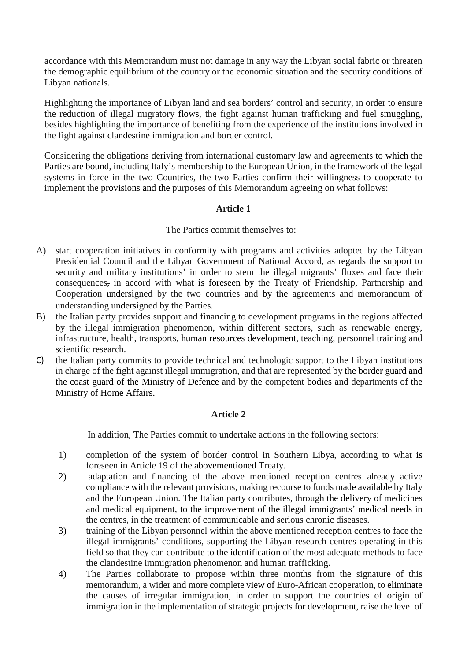accordance with this Memorandum must not damage in any way the Libyan social fabric or threaten the demographic equilibrium of the country or the economic situation and the security conditions of Libyan nationals.

Highlighting the importance of Libyan land and sea borders' control and security, in order to ensure the reduction of illegal migratory flows, the fight against human trafficking and fuel smuggling, besides highlighting the importance of benefiting from the experience of the institutions involved in the fight against clandestine immigration and border control.

Considering the obligations deriving from international customary law and agreements to which the Parties are bound, including Italy's membership to the European Union, in the framework of the legal systems in force in the two Countries, the two Parties confirm their willingness to cooperate to implement the provisions and the purposes of this Memorandum agreeing on what follows:

# **Article 1**

### The Parties commit themselves to:

- A) start cooperation initiatives in conformity with programs and activities adopted by the Libyan Presidential Council and the Libyan Government of National Accord, as regards the support to security and military institutions' in order to stem the illegal migrants' fluxes and face their consequences, in accord with what is foreseen by the Treaty of Friendship, Partnership and Cooperation undersigned by the two countries and by the agreements and memorandum of understanding undersigned by the Parties.
- B) the Italian party provides support and financing to development programs in the regions affected by the illegal immigration phenomenon, within different sectors, such as renewable energy, infrastructure, health, transports, human resources development, teaching, personnel training and scientific research.
- C) the Italian party commits to provide technical and technologic support to the Libyan institutions in charge of the fight against illegal immigration, and that are represented by the border guard and the coast guard of the Ministry of Defence and by the competent bodies and departments of the Ministry of Home Affairs.

# **Article 2**

In addition, The Parties commit to undertake actions in the following sectors:

- 1) completion of the system of border control in Southern Libya, according to what is foreseen in Article 19 of the abovementioned Treaty.
- 2) adaptation and financing of the above mentioned reception centres already active compliance with the relevant provisions, making recourse to funds made available by Italy and the European Union. The Italian party contributes, through the delivery of medicines and medical equipment, to the improvement of the illegal immigrants' medical needs in the centres, in the treatment of communicable and serious chronic diseases.
- 3) training of the Libyan personnel within the above mentioned reception centres to face the illegal immigrants' conditions, supporting the Libyan research centres operating in this field so that they can contribute to the identification of the most adequate methods to face the clandestine immigration phenomenon and human trafficking.
- 4) The Parties collaborate to propose within three months from the signature of this memorandum, a wider and more complete view of Euro-African cooperation, to eliminate the causes of irregular immigration, in order to support the countries of origin of immigration in the implementation of strategic projects for development, raise the level of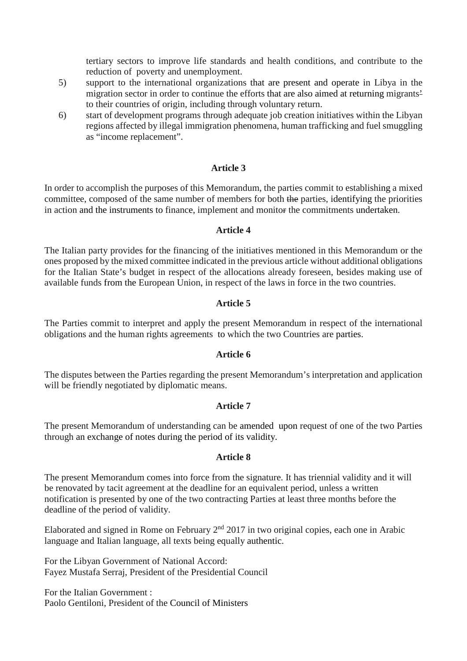tertiary sectors to improve life standards and health conditions, and contribute to the reduction of poverty and unemployment.

- 5) support to the international organizations that are present and operate in Libya in the migration sector in order to continue the efforts that are also aimed at returning migrants' to their countries of origin, including through voluntary return.
- 6) start of development programs through adequate job creation initiatives within the Libyan regions affected by illegal immigration phenomena, human trafficking and fuel smuggling as "income replacement".

### **Article 3**

In order to accomplish the purposes of this Memorandum, the parties commit to establishing a mixed committee, composed of the same number of members for both the parties, identifying the priorities in action and the instruments to finance, implement and monitor the commitments undertaken.

### **Article 4**

The Italian party provides for the financing of the initiatives mentioned in this Memorandum or the ones proposed by the mixed committee indicated in the previous article without additional obligations for the Italian State's budget in respect of the allocations already foreseen, besides making use of available funds from the European Union, in respect of the laws in force in the two countries.

### **Article 5**

The Parties commit to interpret and apply the present Memorandum in respect of the international obligations and the human rights agreements to which the two Countries are parties.

### **Article 6**

The disputes between the Parties regarding the present Memorandum's interpretation and application will be friendly negotiated by diplomatic means.

### **Article 7**

The present Memorandum of understanding can be amended upon request of one of the two Parties through an exchange of notes during the period of its validity.

### **Article 8**

The present Memorandum comes into force from the signature. It has triennial validity and it will be renovated by tacit agreement at the deadline for an equivalent period, unless a written notification is presented by one of the two contracting Parties at least three months before the deadline of the period of validity.

Elaborated and signed in Rome on February  $2<sup>nd</sup>$  2017 in two original copies, each one in Arabic language and Italian language, all texts being equally authentic.

For the Libyan Government of National Accord: Fayez Mustafa Serraj, President of the Presidential Council

For the Italian Government : Paolo Gentiloni, President of the Council of Ministers